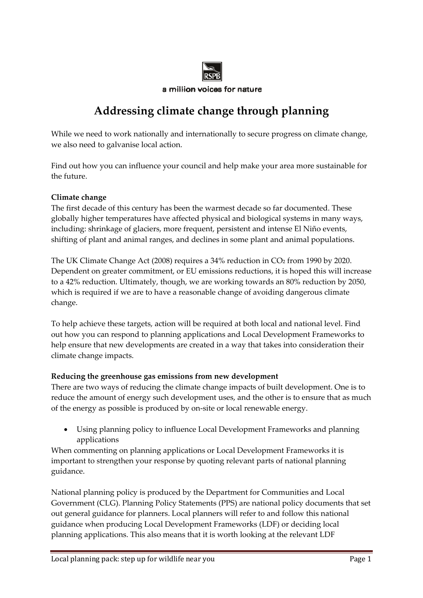

## a million voices for nature

# **Addressing climate change through planning**

While we need to work nationally and internationally to secure progress on climate change, we also need to galvanise local action.

Find out how you can influence your council and help make your area more sustainable for the future.

## **Climate change**

The first decade of this century has been the warmest decade so far documented. These globally higher temperatures have affected physical and biological systems in many ways, including: shrinkage of glaciers, more frequent, persistent and intense El Niño events, shifting of plant and animal ranges, and declines in some plant and animal populations.

The UK Climate Change Act (2008) requires a 34% reduction in CO<sub>2</sub> from 1990 by 2020. Dependent on greater commitment, or EU emissions reductions, it is hoped this will increase to a 42% reduction. Ultimately, though, we are working towards an 80% reduction by 2050, which is required if we are to have a reasonable change of avoiding dangerous climate change.

To help achieve these targets, action will be required at both local and national level. Find out how you can respond to planning applications and Local Development Frameworks to help ensure that new developments are created in a way that takes into consideration their climate change impacts.

### **Reducing the greenhouse gas emissions from new development**

There are two ways of reducing the climate change impacts of built development. One is to reduce the amount of energy such development uses, and the other is to ensure that as much of the energy as possible is produced by on‐site or local renewable energy.

 Using planning policy to influence Local Development Frameworks and planning applications

When commenting on planning applications or Local Development Frameworks it is important to strengthen your response by quoting relevant parts of national planning guidance.

National planning policy is produced by the Department for Communities and Local Government (CLG). Planning Policy Statements (PPS) are national policy documents that set out general guidance for planners. Local planners will refer to and follow this national guidance when producing Local Development Frameworks (LDF) or deciding local planning applications. This also means that it is worth looking at the relevant LDF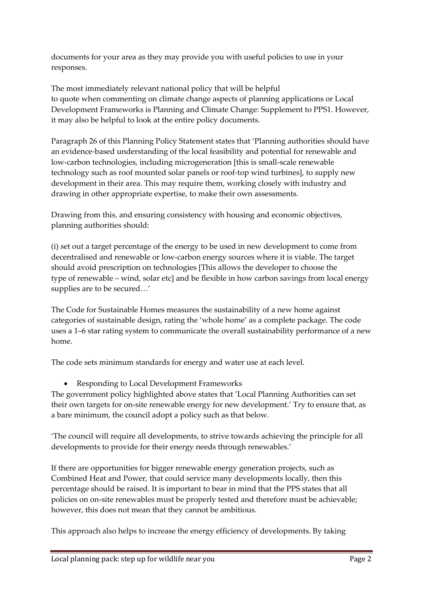documents for your area as they may provide you with useful policies to use in your responses.

The most immediately relevant national policy that will be helpful to quote when commenting on climate change aspects of planning applications or Local Development Frameworks is Planning and Climate Change: Supplement to PPS1. However, it may also be helpful to look at the entire policy documents.

Paragraph 26 of this Planning Policy Statement states that 'Planning authorities should have an evidence‐based understanding of the local feasibility and potential for renewable and low‐carbon technologies, including microgeneration [this is small‐scale renewable technology such as roof mounted solar panels or roof‐top wind turbines], to supply new development in their area. This may require them, working closely with industry and drawing in other appropriate expertise, to make their own assessments.

Drawing from this, and ensuring consistency with housing and economic objectives, planning authorities should:

(i) set out a target percentage of the energy to be used in new development to come from decentralised and renewable or low‐carbon energy sources where it is viable. The target should avoid prescription on technologies [This allows the developer to choose the type of renewable – wind, solar etc] and be flexible in how carbon savings from local energy supplies are to be secured…'

The Code for Sustainable Homes measures the sustainability of a new home against categories of sustainable design, rating the 'whole home' as a complete package. The code uses a 1–6 star rating system to communicate the overall sustainability performance of a new home.

The code sets minimum standards for energy and water use at each level.

Responding to Local Development Frameworks

The government policy highlighted above states that 'Local Planning Authorities can set their own targets for on-site renewable energy for new development.' Try to ensure that, as a bare minimum, the council adopt a policy such as that below.

'The council will require all developments, to strive towards achieving the principle for all developments to provide for their energy needs through renewables.'

If there are opportunities for bigger renewable energy generation projects, such as Combined Heat and Power, that could service many developments locally, then this percentage should be raised. It is important to bear in mind that the PPS states that all policies on on‐site renewables must be properly tested and therefore must be achievable; however, this does not mean that they cannot be ambitious.

This approach also helps to increase the energy efficiency of developments. By taking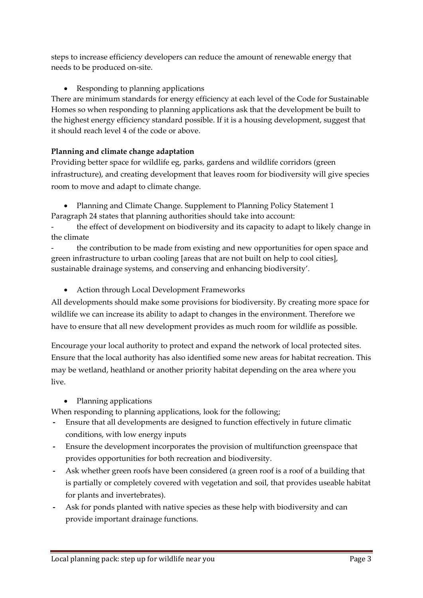steps to increase efficiency developers can reduce the amount of renewable energy that needs to be produced on‐site.

Responding to planning applications

There are minimum standards for energy efficiency at each level of the Code for Sustainable Homes so when responding to planning applications ask that the development be built to the highest energy efficiency standard possible. If it is a housing development, suggest that it should reach level 4 of the code or above.

### **Planning and climate change adaptation**

Providing better space for wildlife eg, parks, gardens and wildlife corridors (green infrastructure), and creating development that leaves room for biodiversity will give species room to move and adapt to climate change.

 Planning and Climate Change. Supplement to Planning Policy Statement 1 Paragraph 24 states that planning authorities should take into account:

the effect of development on biodiversity and its capacity to adapt to likely change in the climate

‐ the contribution to be made from existing and new opportunities for open space and green infrastructure to urban cooling [areas that are not built on help to cool cities], sustainable drainage systems, and conserving and enhancing biodiversity'.

Action through Local Development Frameworks

All developments should make some provisions for biodiversity. By creating more space for wildlife we can increase its ability to adapt to changes in the environment. Therefore we have to ensure that all new development provides as much room for wildlife as possible.

Encourage your local authority to protect and expand the network of local protected sites. Ensure that the local authority has also identified some new areas for habitat recreation. This may be wetland, heathland or another priority habitat depending on the area where you live.

• Planning applications

When responding to planning applications, look for the following;

- **‐** Ensure that all developments are designed to function effectively in future climatic conditions, with low energy inputs
- **‐** Ensure the development incorporates the provision of multifunction greenspace that provides opportunities for both recreation and biodiversity.
- **‐** Ask whether green roofs have been considered (a green roof is a roof of a building that is partially or completely covered with vegetation and soil, that provides useable habitat for plants and invertebrates).
- **‐** Ask for ponds planted with native species as these help with biodiversity and can provide important drainage functions.